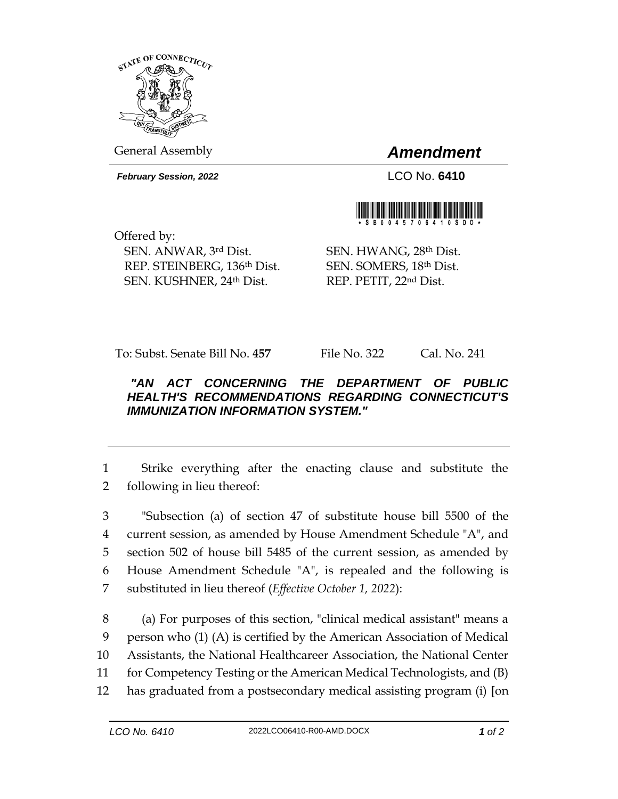

General Assembly *Amendment*

*February Session, 2022* LCO No. **6410**



Offered by: SEN. ANWAR, 3rd Dist. REP. STEINBERG, 136th Dist. SEN. KUSHNER, 24th Dist.

SEN. HWANG, 28th Dist. SEN. SOMERS, 18th Dist. REP. PETIT, 22nd Dist.

To: Subst. Senate Bill No. **457** File No. 322 Cal. No. 241

## *"AN ACT CONCERNING THE DEPARTMENT OF PUBLIC HEALTH'S RECOMMENDATIONS REGARDING CONNECTICUT'S IMMUNIZATION INFORMATION SYSTEM."*

1 Strike everything after the enacting clause and substitute the 2 following in lieu thereof:

 "Subsection (a) of section 47 of substitute house bill 5500 of the current session, as amended by House Amendment Schedule "A", and section 502 of house bill 5485 of the current session, as amended by House Amendment Schedule "A", is repealed and the following is substituted in lieu thereof (*Effective October 1, 2022*):

 (a) For purposes of this section, "clinical medical assistant" means a person who (1) (A) is certified by the American Association of Medical Assistants, the National Healthcareer Association, the National Center for Competency Testing or the American Medical Technologists, and (B) has graduated from a postsecondary medical assisting program (i) **[**on